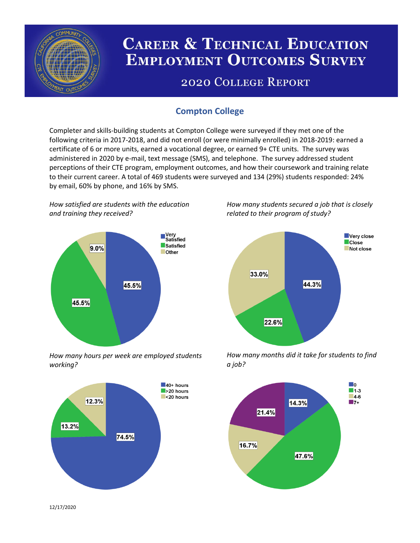

# **CAREER & TECHNICAL EDUCATION EMPLOYMENT OUTCOMES SURVEY**

## **2020 COLLEGE REPORT**

## **Compton College**

Completer and skills-building students at Compton College were surveyed if they met one of the following criteria in 2017-2018, and did not enroll (or were minimally enrolled) in 2018-2019: earned a certificate of 6 or more units, earned a vocational degree, or earned 9+ CTE units. The survey was administered in 2020 by e-mail, text message (SMS), and telephone. The survey addressed student perceptions of their CTE program, employment outcomes, and how their coursework and training relate to their current career. A total of 469 students were surveyed and 134 (29%) students responded: 24% by email, 60% by phone, and 16% by SMS.

*How satisfied are students with the education and training they received?*



*How many hours per week are employed students working?*



*How many students secured a job that is closely related to their program of study?*



*How many months did it take for students to find a job?*



12/17/2020